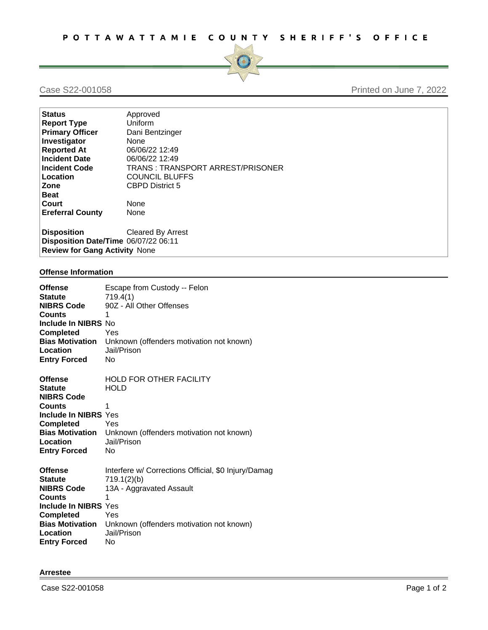

## Case S22-001058 Printed on June 7, 2022

| <b>Status</b>                        | Approved                         |  |
|--------------------------------------|----------------------------------|--|
| <b>Report Type</b>                   | Uniform                          |  |
| <b>Primary Officer</b>               | Dani Bentzinger                  |  |
| Investigator                         | None                             |  |
| <b>Reported At</b>                   | 06/06/22 12:49                   |  |
| <b>Incident Date</b>                 | 06/06/22 12:49                   |  |
| <b>Incident Code</b>                 | TRANS: TRANSPORT ARREST/PRISONER |  |
| Location                             | <b>COUNCIL BLUFFS</b>            |  |
| Zone                                 | <b>CBPD District 5</b>           |  |
| <b>Beat</b>                          |                                  |  |
| Court                                | None                             |  |
| <b>Ereferral County</b>              | None                             |  |
|                                      |                                  |  |
| <b>Disposition</b>                   | Cleared By Arrest                |  |
| Disposition Date/Time 06/07/22 06:11 |                                  |  |
| <b>Review for Gang Activity None</b> |                                  |  |

## **Offense Information**

| <b>Offense</b>         | Escape from Custody -- Felon                        |
|------------------------|-----------------------------------------------------|
| <b>Statute</b>         | 719.4(1)                                            |
| <b>NIBRS Code</b>      | 90Z - All Other Offenses                            |
| <b>Counts</b>          | 1                                                   |
| Include In NIBRS No    |                                                     |
| <b>Completed</b>       | Yes                                                 |
| <b>Bias Motivation</b> | Unknown (offenders motivation not known)            |
| Location               | Jail/Prison                                         |
| <b>Entry Forced</b>    | No.                                                 |
|                        |                                                     |
| <b>Offense</b>         | <b>HOLD FOR OTHER FACILITY</b>                      |
| <b>Statute</b>         | HOLD                                                |
| <b>NIBRS Code</b>      |                                                     |
| <b>Counts</b>          | 1                                                   |
| Include In NIBRS Yes   |                                                     |
| <b>Completed</b>       | Yes                                                 |
| <b>Bias Motivation</b> | Unknown (offenders motivation not known)            |
| Location               | Jail/Prison                                         |
| <b>Entry Forced</b>    | No                                                  |
|                        |                                                     |
| <b>Offense</b>         | Interfere w/ Corrections Official, \$0 Injury/Damag |
| <b>Statute</b>         | 719.1(2)(b)                                         |
| <b>NIBRS Code</b>      | 13A - Aggravated Assault                            |
| <b>Counts</b>          | 1                                                   |
| Include In NIBRS Yes   |                                                     |
| <b>Completed</b>       | Yes                                                 |
| <b>Bias Motivation</b> | Unknown (offenders motivation not known)            |
| Location               | Jail/Prison                                         |
| <b>Entry Forced</b>    | No                                                  |
|                        |                                                     |